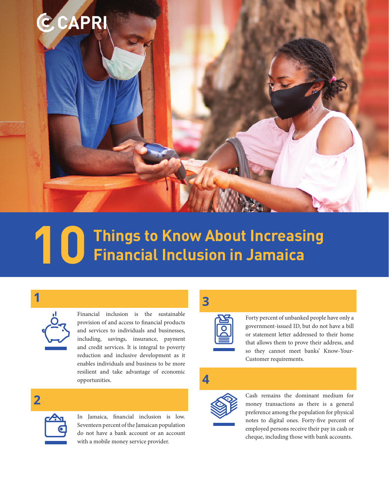

# **Things to Know About Increasing 10 Financial Inclusion in Jamaica**

**1** 



Financial inclusion is the sustainable provision of and access to financial products and services to individuals and businesses, including, savings, insurance, payment and credit services. It is integral to poverty reduction and inclusive development as it enables individuals and business to be more resilient and take advantage of economic opportunities.

### **2**



In Jamaica, financial inclusion is low. Seventeen percent of the Jamaican population do not have a bank account or an account with a mobile money service provider.

## **3**



Forty percent of unbanked people have only a government-issued ID, but do not have a bill or statement letter addressed to their home that allows them to prove their address, and so they cannot meet banks' Know-Your-Customer requirements.

# **4**



Cash remains the dominant medium for money transactions as there is a general preference among the population for physical notes to digital ones. Forty-five percent of employed persons receive their pay in cash or cheque, including those with bank accounts.